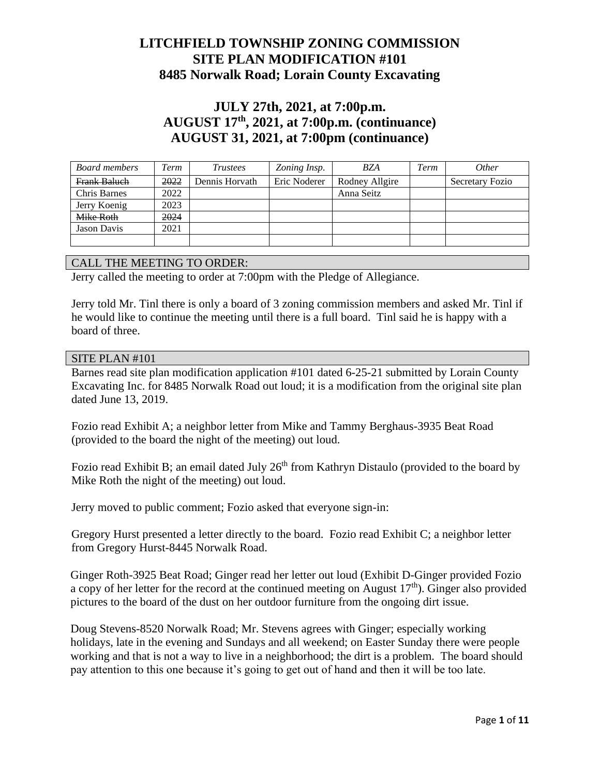### **LITCHFIELD TOWNSHIP ZONING COMMISSION SITE PLAN MODIFICATION #101 8485 Norwalk Road; Lorain County Excavating**

# **JULY 27th, 2021, at 7:00p.m. AUGUST 17th, 2021, at 7:00p.m. (continuance) AUGUST 31, 2021, at 7:00pm (continuance)**

| Board members       | Term | <i>Trustees</i> | Zoning Insp. | <b>BZA</b>     | Term | <i>Other</i>    |
|---------------------|------|-----------------|--------------|----------------|------|-----------------|
| Frank Baluch        | 2022 | Dennis Horvath  | Eric Noderer | Rodney Allgire |      | Secretary Fozio |
| <b>Chris Barnes</b> | 2022 |                 |              | Anna Seitz     |      |                 |
| Jerry Koenig        | 2023 |                 |              |                |      |                 |
| Mike Roth           | 2024 |                 |              |                |      |                 |
| Jason Davis         | 2021 |                 |              |                |      |                 |
|                     |      |                 |              |                |      |                 |

#### CALL THE MEETING TO ORDER:

Jerry called the meeting to order at 7:00pm with the Pledge of Allegiance.

Jerry told Mr. Tinl there is only a board of 3 zoning commission members and asked Mr. Tinl if he would like to continue the meeting until there is a full board. Tinl said he is happy with a board of three.

#### SITE PLAN #101

Barnes read site plan modification application #101 dated 6-25-21 submitted by Lorain County Excavating Inc. for 8485 Norwalk Road out loud; it is a modification from the original site plan dated June 13, 2019.

Fozio read Exhibit A; a neighbor letter from Mike and Tammy Berghaus-3935 Beat Road (provided to the board the night of the meeting) out loud.

Fozio read Exhibit B; an email dated July 26<sup>th</sup> from Kathryn Distaulo (provided to the board by Mike Roth the night of the meeting) out loud.

Jerry moved to public comment; Fozio asked that everyone sign-in:

Gregory Hurst presented a letter directly to the board. Fozio read Exhibit C; a neighbor letter from Gregory Hurst-8445 Norwalk Road.

Ginger Roth-3925 Beat Road; Ginger read her letter out loud (Exhibit D-Ginger provided Fozio a copy of her letter for the record at the continued meeting on August  $17<sup>th</sup>$ . Ginger also provided pictures to the board of the dust on her outdoor furniture from the ongoing dirt issue.

Doug Stevens-8520 Norwalk Road; Mr. Stevens agrees with Ginger; especially working holidays, late in the evening and Sundays and all weekend; on Easter Sunday there were people working and that is not a way to live in a neighborhood; the dirt is a problem. The board should pay attention to this one because it's going to get out of hand and then it will be too late.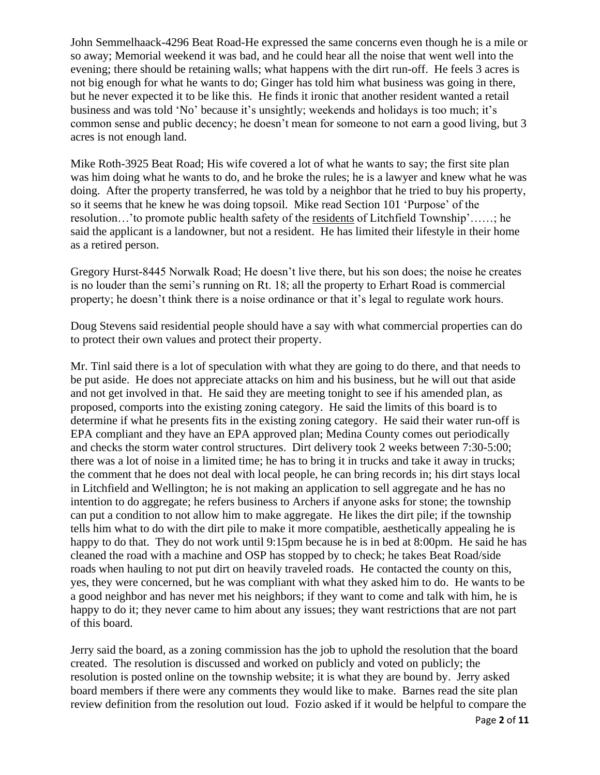John Semmelhaack-4296 Beat Road-He expressed the same concerns even though he is a mile or so away; Memorial weekend it was bad, and he could hear all the noise that went well into the evening; there should be retaining walls; what happens with the dirt run-off. He feels 3 acres is not big enough for what he wants to do; Ginger has told him what business was going in there, but he never expected it to be like this. He finds it ironic that another resident wanted a retail business and was told 'No' because it's unsightly; weekends and holidays is too much; it's common sense and public decency; he doesn't mean for someone to not earn a good living, but 3 acres is not enough land.

Mike Roth-3925 Beat Road; His wife covered a lot of what he wants to say; the first site plan was him doing what he wants to do, and he broke the rules; he is a lawyer and knew what he was doing. After the property transferred, he was told by a neighbor that he tried to buy his property, so it seems that he knew he was doing topsoil. Mike read Section 101 'Purpose' of the resolution…'to promote public health safety of the residents of Litchfield Township'……; he said the applicant is a landowner, but not a resident. He has limited their lifestyle in their home as a retired person.

Gregory Hurst-8445 Norwalk Road; He doesn't live there, but his son does; the noise he creates is no louder than the semi's running on Rt. 18; all the property to Erhart Road is commercial property; he doesn't think there is a noise ordinance or that it's legal to regulate work hours.

Doug Stevens said residential people should have a say with what commercial properties can do to protect their own values and protect their property.

Mr. Tinl said there is a lot of speculation with what they are going to do there, and that needs to be put aside. He does not appreciate attacks on him and his business, but he will out that aside and not get involved in that. He said they are meeting tonight to see if his amended plan, as proposed, comports into the existing zoning category. He said the limits of this board is to determine if what he presents fits in the existing zoning category. He said their water run-off is EPA compliant and they have an EPA approved plan; Medina County comes out periodically and checks the storm water control structures. Dirt delivery took 2 weeks between 7:30-5:00; there was a lot of noise in a limited time; he has to bring it in trucks and take it away in trucks; the comment that he does not deal with local people, he can bring records in; his dirt stays local in Litchfield and Wellington; he is not making an application to sell aggregate and he has no intention to do aggregate; he refers business to Archers if anyone asks for stone; the township can put a condition to not allow him to make aggregate. He likes the dirt pile; if the township tells him what to do with the dirt pile to make it more compatible, aesthetically appealing he is happy to do that. They do not work until 9:15pm because he is in bed at 8:00pm. He said he has cleaned the road with a machine and OSP has stopped by to check; he takes Beat Road/side roads when hauling to not put dirt on heavily traveled roads. He contacted the county on this, yes, they were concerned, but he was compliant with what they asked him to do. He wants to be a good neighbor and has never met his neighbors; if they want to come and talk with him, he is happy to do it; they never came to him about any issues; they want restrictions that are not part of this board.

Jerry said the board, as a zoning commission has the job to uphold the resolution that the board created. The resolution is discussed and worked on publicly and voted on publicly; the resolution is posted online on the township website; it is what they are bound by. Jerry asked board members if there were any comments they would like to make. Barnes read the site plan review definition from the resolution out loud. Fozio asked if it would be helpful to compare the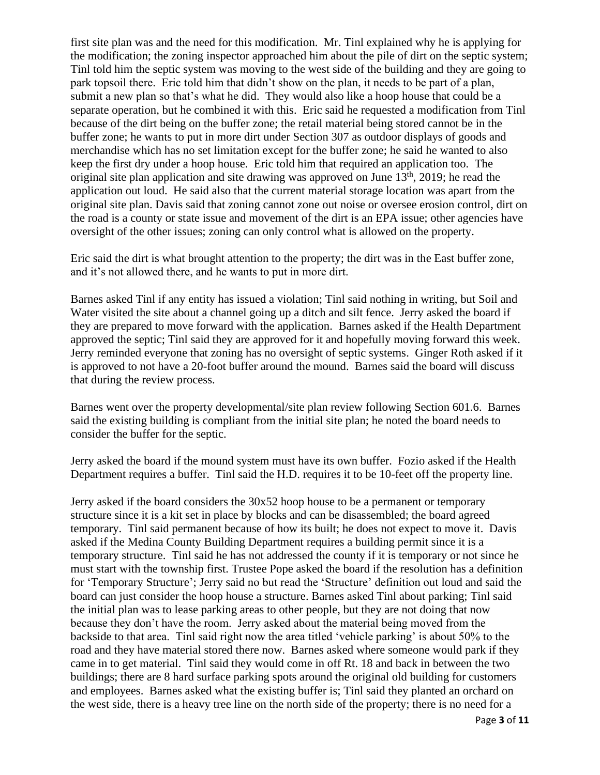first site plan was and the need for this modification. Mr. Tinl explained why he is applying for the modification; the zoning inspector approached him about the pile of dirt on the septic system; Tinl told him the septic system was moving to the west side of the building and they are going to park topsoil there. Eric told him that didn't show on the plan, it needs to be part of a plan, submit a new plan so that's what he did. They would also like a hoop house that could be a separate operation, but he combined it with this. Eric said he requested a modification from Tinl because of the dirt being on the buffer zone; the retail material being stored cannot be in the buffer zone; he wants to put in more dirt under Section 307 as outdoor displays of goods and merchandise which has no set limitation except for the buffer zone; he said he wanted to also keep the first dry under a hoop house. Eric told him that required an application too. The original site plan application and site drawing was approved on June  $13<sup>th</sup>$ , 2019; he read the application out loud. He said also that the current material storage location was apart from the original site plan. Davis said that zoning cannot zone out noise or oversee erosion control, dirt on the road is a county or state issue and movement of the dirt is an EPA issue; other agencies have oversight of the other issues; zoning can only control what is allowed on the property.

Eric said the dirt is what brought attention to the property; the dirt was in the East buffer zone, and it's not allowed there, and he wants to put in more dirt.

Barnes asked Tinl if any entity has issued a violation; Tinl said nothing in writing, but Soil and Water visited the site about a channel going up a ditch and silt fence. Jerry asked the board if they are prepared to move forward with the application. Barnes asked if the Health Department approved the septic; Tinl said they are approved for it and hopefully moving forward this week. Jerry reminded everyone that zoning has no oversight of septic systems. Ginger Roth asked if it is approved to not have a 20-foot buffer around the mound. Barnes said the board will discuss that during the review process.

Barnes went over the property developmental/site plan review following Section 601.6. Barnes said the existing building is compliant from the initial site plan; he noted the board needs to consider the buffer for the septic.

Jerry asked the board if the mound system must have its own buffer. Fozio asked if the Health Department requires a buffer. Tinl said the H.D. requires it to be 10-feet off the property line.

Jerry asked if the board considers the 30x52 hoop house to be a permanent or temporary structure since it is a kit set in place by blocks and can be disassembled; the board agreed temporary. Tinl said permanent because of how its built; he does not expect to move it. Davis asked if the Medina County Building Department requires a building permit since it is a temporary structure. Tinl said he has not addressed the county if it is temporary or not since he must start with the township first. Trustee Pope asked the board if the resolution has a definition for 'Temporary Structure'; Jerry said no but read the 'Structure' definition out loud and said the board can just consider the hoop house a structure. Barnes asked Tinl about parking; Tinl said the initial plan was to lease parking areas to other people, but they are not doing that now because they don't have the room. Jerry asked about the material being moved from the backside to that area. Tinl said right now the area titled 'vehicle parking' is about 50% to the road and they have material stored there now. Barnes asked where someone would park if they came in to get material. Tinl said they would come in off Rt. 18 and back in between the two buildings; there are 8 hard surface parking spots around the original old building for customers and employees. Barnes asked what the existing buffer is; Tinl said they planted an orchard on the west side, there is a heavy tree line on the north side of the property; there is no need for a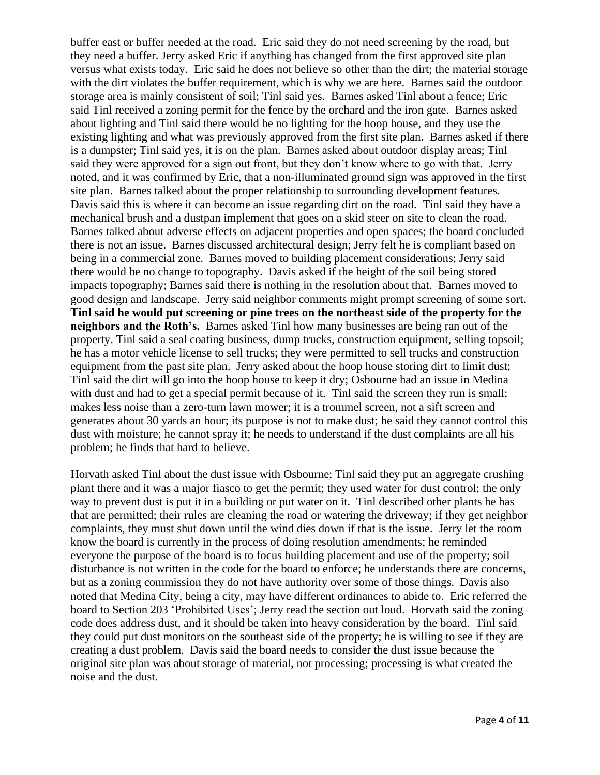buffer east or buffer needed at the road. Eric said they do not need screening by the road, but they need a buffer. Jerry asked Eric if anything has changed from the first approved site plan versus what exists today. Eric said he does not believe so other than the dirt; the material storage with the dirt violates the buffer requirement, which is why we are here. Barnes said the outdoor storage area is mainly consistent of soil; Tinl said yes. Barnes asked Tinl about a fence; Eric said Tinl received a zoning permit for the fence by the orchard and the iron gate. Barnes asked about lighting and Tinl said there would be no lighting for the hoop house, and they use the existing lighting and what was previously approved from the first site plan. Barnes asked if there is a dumpster; Tinl said yes, it is on the plan. Barnes asked about outdoor display areas; Tinl said they were approved for a sign out front, but they don't know where to go with that. Jerry noted, and it was confirmed by Eric, that a non-illuminated ground sign was approved in the first site plan. Barnes talked about the proper relationship to surrounding development features. Davis said this is where it can become an issue regarding dirt on the road. Tinl said they have a mechanical brush and a dustpan implement that goes on a skid steer on site to clean the road. Barnes talked about adverse effects on adjacent properties and open spaces; the board concluded there is not an issue. Barnes discussed architectural design; Jerry felt he is compliant based on being in a commercial zone. Barnes moved to building placement considerations; Jerry said there would be no change to topography. Davis asked if the height of the soil being stored impacts topography; Barnes said there is nothing in the resolution about that. Barnes moved to good design and landscape. Jerry said neighbor comments might prompt screening of some sort. **Tinl said he would put screening or pine trees on the northeast side of the property for the neighbors and the Roth's.** Barnes asked Tinl how many businesses are being ran out of the property. Tinl said a seal coating business, dump trucks, construction equipment, selling topsoil; he has a motor vehicle license to sell trucks; they were permitted to sell trucks and construction equipment from the past site plan. Jerry asked about the hoop house storing dirt to limit dust; Tinl said the dirt will go into the hoop house to keep it dry; Osbourne had an issue in Medina with dust and had to get a special permit because of it. Tinl said the screen they run is small; makes less noise than a zero-turn lawn mower; it is a trommel screen, not a sift screen and generates about 30 yards an hour; its purpose is not to make dust; he said they cannot control this dust with moisture; he cannot spray it; he needs to understand if the dust complaints are all his problem; he finds that hard to believe.

Horvath asked Tinl about the dust issue with Osbourne; Tinl said they put an aggregate crushing plant there and it was a major fiasco to get the permit; they used water for dust control; the only way to prevent dust is put it in a building or put water on it. Tinl described other plants he has that are permitted; their rules are cleaning the road or watering the driveway; if they get neighbor complaints, they must shut down until the wind dies down if that is the issue. Jerry let the room know the board is currently in the process of doing resolution amendments; he reminded everyone the purpose of the board is to focus building placement and use of the property; soil disturbance is not written in the code for the board to enforce; he understands there are concerns, but as a zoning commission they do not have authority over some of those things. Davis also noted that Medina City, being a city, may have different ordinances to abide to. Eric referred the board to Section 203 'Prohibited Uses'; Jerry read the section out loud. Horvath said the zoning code does address dust, and it should be taken into heavy consideration by the board. Tinl said they could put dust monitors on the southeast side of the property; he is willing to see if they are creating a dust problem. Davis said the board needs to consider the dust issue because the original site plan was about storage of material, not processing; processing is what created the noise and the dust.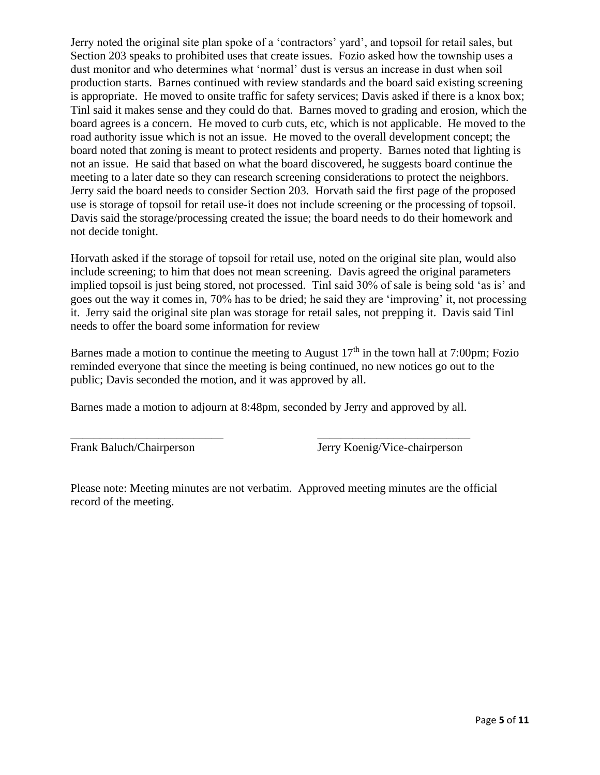Jerry noted the original site plan spoke of a 'contractors' yard', and topsoil for retail sales, but Section 203 speaks to prohibited uses that create issues. Fozio asked how the township uses a dust monitor and who determines what 'normal' dust is versus an increase in dust when soil production starts. Barnes continued with review standards and the board said existing screening is appropriate. He moved to onsite traffic for safety services; Davis asked if there is a knox box; Tinl said it makes sense and they could do that. Barnes moved to grading and erosion, which the board agrees is a concern. He moved to curb cuts, etc, which is not applicable. He moved to the road authority issue which is not an issue. He moved to the overall development concept; the board noted that zoning is meant to protect residents and property. Barnes noted that lighting is not an issue. He said that based on what the board discovered, he suggests board continue the meeting to a later date so they can research screening considerations to protect the neighbors. Jerry said the board needs to consider Section 203. Horvath said the first page of the proposed use is storage of topsoil for retail use-it does not include screening or the processing of topsoil. Davis said the storage/processing created the issue; the board needs to do their homework and not decide tonight.

Horvath asked if the storage of topsoil for retail use, noted on the original site plan, would also include screening; to him that does not mean screening. Davis agreed the original parameters implied topsoil is just being stored, not processed. Tinl said 30% of sale is being sold 'as is' and goes out the way it comes in, 70% has to be dried; he said they are 'improving' it, not processing it. Jerry said the original site plan was storage for retail sales, not prepping it. Davis said Tinl needs to offer the board some information for review

Barnes made a motion to continue the meeting to August  $17<sup>th</sup>$  in the town hall at 7:00pm; Fozio reminded everyone that since the meeting is being continued, no new notices go out to the public; Davis seconded the motion, and it was approved by all.

Barnes made a motion to adjourn at 8:48pm, seconded by Jerry and approved by all.

\_\_\_\_\_\_\_\_\_\_\_\_\_\_\_\_\_\_\_\_\_\_\_\_\_\_ \_\_\_\_\_\_\_\_\_\_\_\_\_\_\_\_\_\_\_\_\_\_\_\_\_\_

Frank Baluch/Chairperson Jerry Koenig/Vice-chairperson

Please note: Meeting minutes are not verbatim. Approved meeting minutes are the official record of the meeting.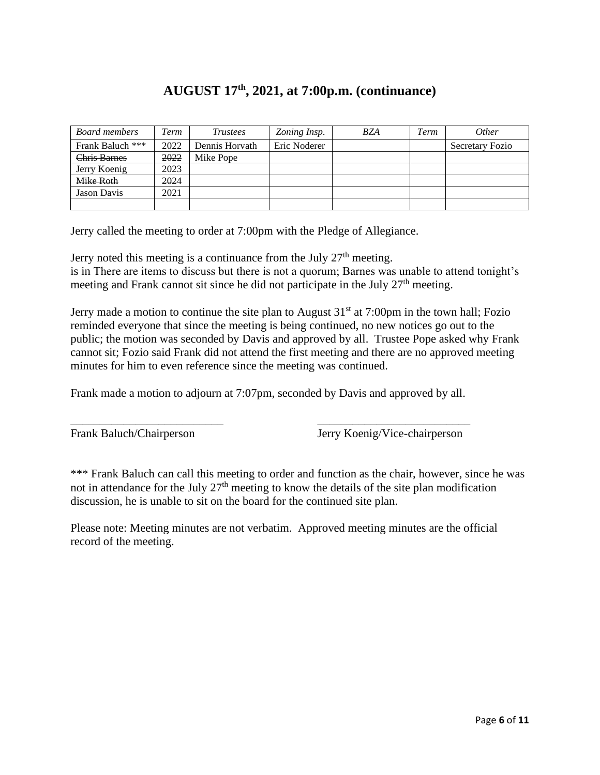# **AUGUST 17th, 2021, at 7:00p.m. (continuance)**

| <b>Board members</b> | Term | Trustees       | Zoning Insp. | <b>BZA</b> | Term | <i>Other</i>           |
|----------------------|------|----------------|--------------|------------|------|------------------------|
| Frank Baluch ***     | 2022 | Dennis Horvath | Eric Noderer |            |      | <b>Secretary Fozio</b> |
| Chris Barnes         | 2022 | Mike Pope      |              |            |      |                        |
| Jerry Koenig         | 2023 |                |              |            |      |                        |
| Mike Roth            | 2024 |                |              |            |      |                        |
| <b>Jason Davis</b>   | 2021 |                |              |            |      |                        |
|                      |      |                |              |            |      |                        |

Jerry called the meeting to order at 7:00pm with the Pledge of Allegiance.

Jerry noted this meeting is a continuance from the July  $27<sup>th</sup>$  meeting. is in There are items to discuss but there is not a quorum; Barnes was unable to attend tonight's meeting and Frank cannot sit since he did not participate in the July 27<sup>th</sup> meeting.

Jerry made a motion to continue the site plan to August  $31<sup>st</sup>$  at 7:00pm in the town hall; Fozio reminded everyone that since the meeting is being continued, no new notices go out to the public; the motion was seconded by Davis and approved by all. Trustee Pope asked why Frank cannot sit; Fozio said Frank did not attend the first meeting and there are no approved meeting minutes for him to even reference since the meeting was continued.

Frank made a motion to adjourn at 7:07pm, seconded by Davis and approved by all.

\_\_\_\_\_\_\_\_\_\_\_\_\_\_\_\_\_\_\_\_\_\_\_\_\_\_ \_\_\_\_\_\_\_\_\_\_\_\_\_\_\_\_\_\_\_\_\_\_\_\_\_\_

Frank Baluch/Chairperson Jerry Koenig/Vice-chairperson

\*\*\* Frank Baluch can call this meeting to order and function as the chair, however, since he was not in attendance for the July  $27<sup>th</sup>$  meeting to know the details of the site plan modification discussion, he is unable to sit on the board for the continued site plan.

Please note: Meeting minutes are not verbatim. Approved meeting minutes are the official record of the meeting.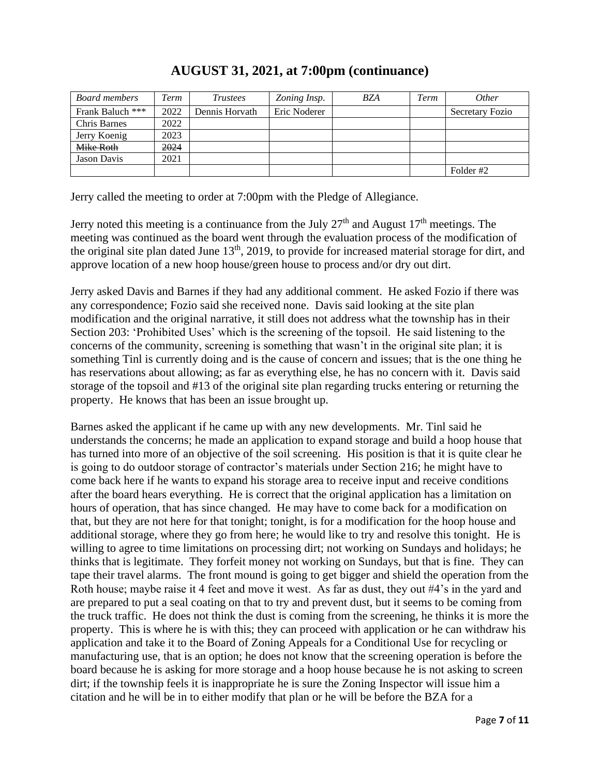| Board members       | Term | <i>Trustees</i> | Zoning Insp. | BZA | Term | <i>Other</i>    |
|---------------------|------|-----------------|--------------|-----|------|-----------------|
| Frank Baluch ***    | 2022 | Dennis Horvath  | Eric Noderer |     |      | Secretary Fozio |
| <b>Chris Barnes</b> | 2022 |                 |              |     |      |                 |
| Jerry Koenig        | 2023 |                 |              |     |      |                 |
| Mike Roth           | 2024 |                 |              |     |      |                 |
| Jason Davis         | 2021 |                 |              |     |      |                 |
|                     |      |                 |              |     |      | Folder #2       |

### **AUGUST 31, 2021, at 7:00pm (continuance)**

Jerry called the meeting to order at 7:00pm with the Pledge of Allegiance.

Jerry noted this meeting is a continuance from the July  $27<sup>th</sup>$  and August  $17<sup>th</sup>$  meetings. The meeting was continued as the board went through the evaluation process of the modification of the original site plan dated June 13<sup>th</sup>, 2019, to provide for increased material storage for dirt, and approve location of a new hoop house/green house to process and/or dry out dirt.

Jerry asked Davis and Barnes if they had any additional comment. He asked Fozio if there was any correspondence; Fozio said she received none. Davis said looking at the site plan modification and the original narrative, it still does not address what the township has in their Section 203: 'Prohibited Uses' which is the screening of the topsoil. He said listening to the concerns of the community, screening is something that wasn't in the original site plan; it is something Tinl is currently doing and is the cause of concern and issues; that is the one thing he has reservations about allowing; as far as everything else, he has no concern with it. Davis said storage of the topsoil and #13 of the original site plan regarding trucks entering or returning the property. He knows that has been an issue brought up.

Barnes asked the applicant if he came up with any new developments. Mr. Tinl said he understands the concerns; he made an application to expand storage and build a hoop house that has turned into more of an objective of the soil screening. His position is that it is quite clear he is going to do outdoor storage of contractor's materials under Section 216; he might have to come back here if he wants to expand his storage area to receive input and receive conditions after the board hears everything. He is correct that the original application has a limitation on hours of operation, that has since changed. He may have to come back for a modification on that, but they are not here for that tonight; tonight, is for a modification for the hoop house and additional storage, where they go from here; he would like to try and resolve this tonight. He is willing to agree to time limitations on processing dirt; not working on Sundays and holidays; he thinks that is legitimate. They forfeit money not working on Sundays, but that is fine. They can tape their travel alarms. The front mound is going to get bigger and shield the operation from the Roth house; maybe raise it 4 feet and move it west. As far as dust, they out #4's in the yard and are prepared to put a seal coating on that to try and prevent dust, but it seems to be coming from the truck traffic. He does not think the dust is coming from the screening, he thinks it is more the property. This is where he is with this; they can proceed with application or he can withdraw his application and take it to the Board of Zoning Appeals for a Conditional Use for recycling or manufacturing use, that is an option; he does not know that the screening operation is before the board because he is asking for more storage and a hoop house because he is not asking to screen dirt; if the township feels it is inappropriate he is sure the Zoning Inspector will issue him a citation and he will be in to either modify that plan or he will be before the BZA for a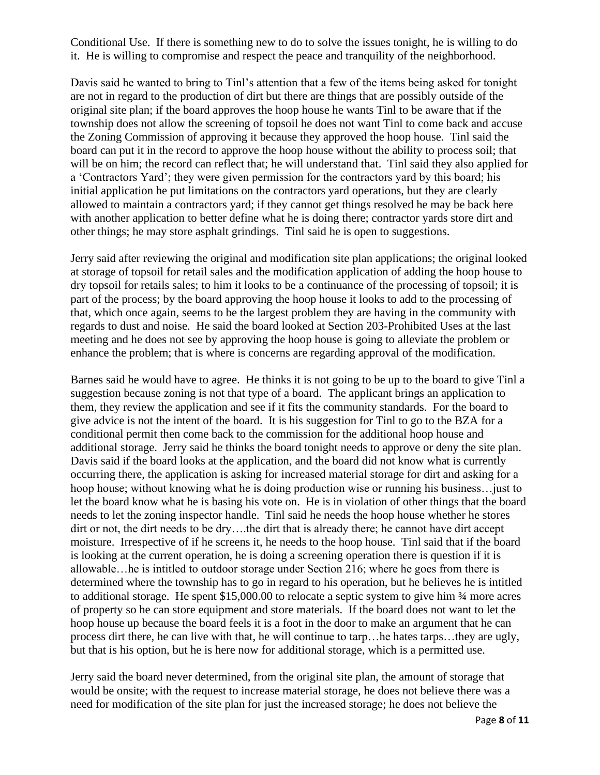Conditional Use. If there is something new to do to solve the issues tonight, he is willing to do it. He is willing to compromise and respect the peace and tranquility of the neighborhood.

Davis said he wanted to bring to Tinl's attention that a few of the items being asked for tonight are not in regard to the production of dirt but there are things that are possibly outside of the original site plan; if the board approves the hoop house he wants Tinl to be aware that if the township does not allow the screening of topsoil he does not want Tinl to come back and accuse the Zoning Commission of approving it because they approved the hoop house. Tinl said the board can put it in the record to approve the hoop house without the ability to process soil; that will be on him; the record can reflect that; he will understand that. Tinl said they also applied for a 'Contractors Yard'; they were given permission for the contractors yard by this board; his initial application he put limitations on the contractors yard operations, but they are clearly allowed to maintain a contractors yard; if they cannot get things resolved he may be back here with another application to better define what he is doing there; contractor yards store dirt and other things; he may store asphalt grindings. Tinl said he is open to suggestions.

Jerry said after reviewing the original and modification site plan applications; the original looked at storage of topsoil for retail sales and the modification application of adding the hoop house to dry topsoil for retails sales; to him it looks to be a continuance of the processing of topsoil; it is part of the process; by the board approving the hoop house it looks to add to the processing of that, which once again, seems to be the largest problem they are having in the community with regards to dust and noise. He said the board looked at Section 203-Prohibited Uses at the last meeting and he does not see by approving the hoop house is going to alleviate the problem or enhance the problem; that is where is concerns are regarding approval of the modification.

Barnes said he would have to agree. He thinks it is not going to be up to the board to give Tinl a suggestion because zoning is not that type of a board. The applicant brings an application to them, they review the application and see if it fits the community standards. For the board to give advice is not the intent of the board. It is his suggestion for Tinl to go to the BZA for a conditional permit then come back to the commission for the additional hoop house and additional storage. Jerry said he thinks the board tonight needs to approve or deny the site plan. Davis said if the board looks at the application, and the board did not know what is currently occurring there, the application is asking for increased material storage for dirt and asking for a hoop house; without knowing what he is doing production wise or running his business... just to let the board know what he is basing his vote on. He is in violation of other things that the board needs to let the zoning inspector handle. Tinl said he needs the hoop house whether he stores dirt or not, the dirt needs to be dry….the dirt that is already there; he cannot have dirt accept moisture. Irrespective of if he screens it, he needs to the hoop house. Tinl said that if the board is looking at the current operation, he is doing a screening operation there is question if it is allowable…he is intitled to outdoor storage under Section 216; where he goes from there is determined where the township has to go in regard to his operation, but he believes he is intitled to additional storage. He spent \$15,000.00 to relocate a septic system to give him  $\frac{3}{4}$  more acres of property so he can store equipment and store materials. If the board does not want to let the hoop house up because the board feels it is a foot in the door to make an argument that he can process dirt there, he can live with that, he will continue to tarp…he hates tarps…they are ugly, but that is his option, but he is here now for additional storage, which is a permitted use.

Jerry said the board never determined, from the original site plan, the amount of storage that would be onsite; with the request to increase material storage, he does not believe there was a need for modification of the site plan for just the increased storage; he does not believe the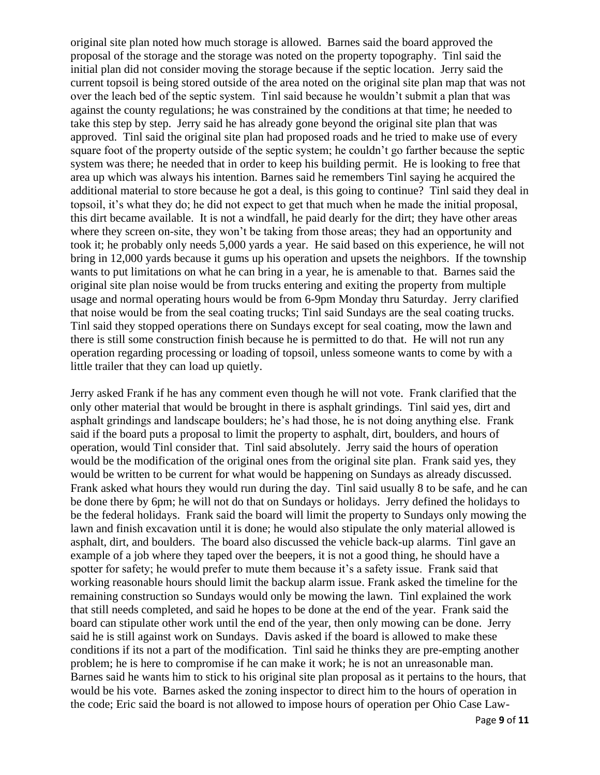original site plan noted how much storage is allowed. Barnes said the board approved the proposal of the storage and the storage was noted on the property topography. Tinl said the initial plan did not consider moving the storage because if the septic location. Jerry said the current topsoil is being stored outside of the area noted on the original site plan map that was not over the leach bed of the septic system. Tinl said because he wouldn't submit a plan that was against the county regulations; he was constrained by the conditions at that time; he needed to take this step by step. Jerry said he has already gone beyond the original site plan that was approved. Tinl said the original site plan had proposed roads and he tried to make use of every square foot of the property outside of the septic system; he couldn't go farther because the septic system was there; he needed that in order to keep his building permit. He is looking to free that area up which was always his intention. Barnes said he remembers Tinl saying he acquired the additional material to store because he got a deal, is this going to continue? Tinl said they deal in topsoil, it's what they do; he did not expect to get that much when he made the initial proposal, this dirt became available. It is not a windfall, he paid dearly for the dirt; they have other areas where they screen on-site, they won't be taking from those areas; they had an opportunity and took it; he probably only needs 5,000 yards a year. He said based on this experience, he will not bring in 12,000 yards because it gums up his operation and upsets the neighbors. If the township wants to put limitations on what he can bring in a year, he is amenable to that. Barnes said the original site plan noise would be from trucks entering and exiting the property from multiple usage and normal operating hours would be from 6-9pm Monday thru Saturday. Jerry clarified that noise would be from the seal coating trucks; Tinl said Sundays are the seal coating trucks. Tinl said they stopped operations there on Sundays except for seal coating, mow the lawn and there is still some construction finish because he is permitted to do that. He will not run any operation regarding processing or loading of topsoil, unless someone wants to come by with a little trailer that they can load up quietly.

Jerry asked Frank if he has any comment even though he will not vote. Frank clarified that the only other material that would be brought in there is asphalt grindings. Tinl said yes, dirt and asphalt grindings and landscape boulders; he's had those, he is not doing anything else. Frank said if the board puts a proposal to limit the property to asphalt, dirt, boulders, and hours of operation, would Tinl consider that. Tinl said absolutely. Jerry said the hours of operation would be the modification of the original ones from the original site plan. Frank said yes, they would be written to be current for what would be happening on Sundays as already discussed. Frank asked what hours they would run during the day. Tinl said usually 8 to be safe, and he can be done there by 6pm; he will not do that on Sundays or holidays. Jerry defined the holidays to be the federal holidays. Frank said the board will limit the property to Sundays only mowing the lawn and finish excavation until it is done; he would also stipulate the only material allowed is asphalt, dirt, and boulders. The board also discussed the vehicle back-up alarms. Tinl gave an example of a job where they taped over the beepers, it is not a good thing, he should have a spotter for safety; he would prefer to mute them because it's a safety issue. Frank said that working reasonable hours should limit the backup alarm issue. Frank asked the timeline for the remaining construction so Sundays would only be mowing the lawn. Tinl explained the work that still needs completed, and said he hopes to be done at the end of the year. Frank said the board can stipulate other work until the end of the year, then only mowing can be done. Jerry said he is still against work on Sundays. Davis asked if the board is allowed to make these conditions if its not a part of the modification. Tinl said he thinks they are pre-empting another problem; he is here to compromise if he can make it work; he is not an unreasonable man. Barnes said he wants him to stick to his original site plan proposal as it pertains to the hours, that would be his vote. Barnes asked the zoning inspector to direct him to the hours of operation in the code; Eric said the board is not allowed to impose hours of operation per Ohio Case Law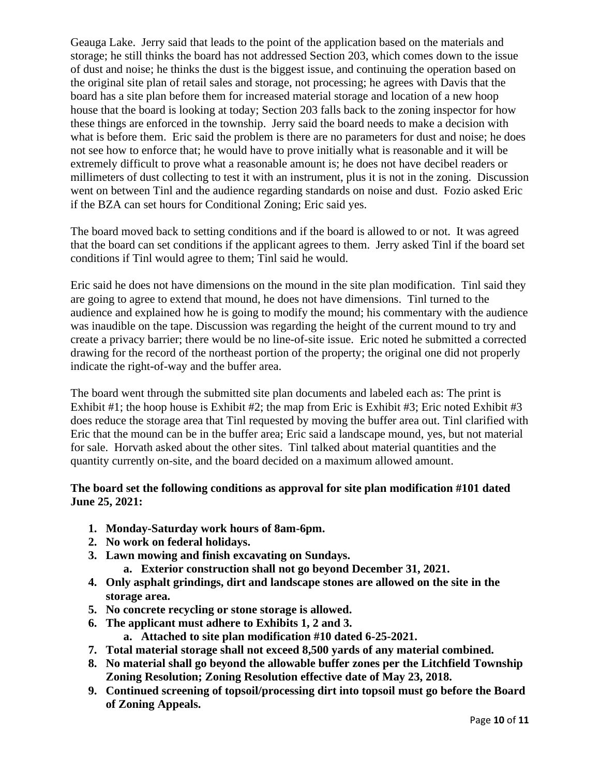Geauga Lake. Jerry said that leads to the point of the application based on the materials and storage; he still thinks the board has not addressed Section 203, which comes down to the issue of dust and noise; he thinks the dust is the biggest issue, and continuing the operation based on the original site plan of retail sales and storage, not processing; he agrees with Davis that the board has a site plan before them for increased material storage and location of a new hoop house that the board is looking at today; Section 203 falls back to the zoning inspector for how these things are enforced in the township. Jerry said the board needs to make a decision with what is before them. Eric said the problem is there are no parameters for dust and noise; he does not see how to enforce that; he would have to prove initially what is reasonable and it will be extremely difficult to prove what a reasonable amount is; he does not have decibel readers or millimeters of dust collecting to test it with an instrument, plus it is not in the zoning. Discussion went on between Tinl and the audience regarding standards on noise and dust. Fozio asked Eric if the BZA can set hours for Conditional Zoning; Eric said yes.

The board moved back to setting conditions and if the board is allowed to or not. It was agreed that the board can set conditions if the applicant agrees to them. Jerry asked Tinl if the board set conditions if Tinl would agree to them; Tinl said he would.

Eric said he does not have dimensions on the mound in the site plan modification. Tinl said they are going to agree to extend that mound, he does not have dimensions. Tinl turned to the audience and explained how he is going to modify the mound; his commentary with the audience was inaudible on the tape. Discussion was regarding the height of the current mound to try and create a privacy barrier; there would be no line-of-site issue. Eric noted he submitted a corrected drawing for the record of the northeast portion of the property; the original one did not properly indicate the right-of-way and the buffer area.

The board went through the submitted site plan documents and labeled each as: The print is Exhibit #1; the hoop house is Exhibit #2; the map from Eric is Exhibit #3; Eric noted Exhibit #3 does reduce the storage area that Tinl requested by moving the buffer area out. Tinl clarified with Eric that the mound can be in the buffer area; Eric said a landscape mound, yes, but not material for sale. Horvath asked about the other sites. Tinl talked about material quantities and the quantity currently on-site, and the board decided on a maximum allowed amount.

### **The board set the following conditions as approval for site plan modification #101 dated June 25, 2021:**

- **1. Monday-Saturday work hours of 8am-6pm.**
- **2. No work on federal holidays.**
- **3. Lawn mowing and finish excavating on Sundays.**
	- **a. Exterior construction shall not go beyond December 31, 2021.**
- **4. Only asphalt grindings, dirt and landscape stones are allowed on the site in the storage area.**
- **5. No concrete recycling or stone storage is allowed.**
- **6. The applicant must adhere to Exhibits 1, 2 and 3.**
	- **a. Attached to site plan modification #10 dated 6-25-2021.**
- **7. Total material storage shall not exceed 8,500 yards of any material combined.**
- **8. No material shall go beyond the allowable buffer zones per the Litchfield Township Zoning Resolution; Zoning Resolution effective date of May 23, 2018.**
- **9. Continued screening of topsoil/processing dirt into topsoil must go before the Board of Zoning Appeals.**